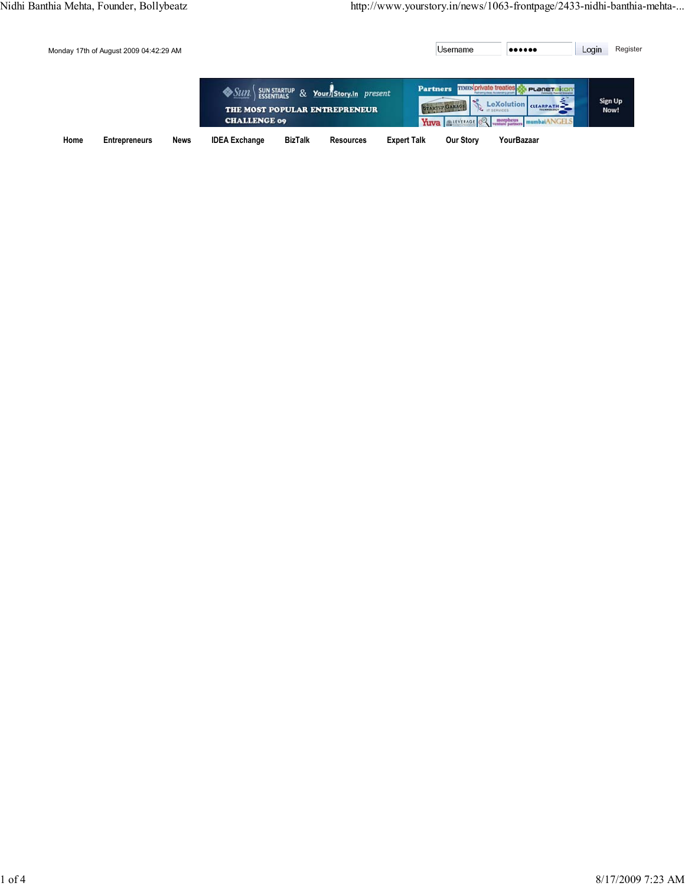|      | Monday 17th of August 2009 04:42:29 AM |      |                                                                                                 |                |           |                    | Username                                                                                                                                                                                                      |            | Login | Register        |  |
|------|----------------------------------------|------|-------------------------------------------------------------------------------------------------|----------------|-----------|--------------------|---------------------------------------------------------------------------------------------------------------------------------------------------------------------------------------------------------------|------------|-------|-----------------|--|
|      |                                        |      | Sun sun STARTUP & Your Story.in present<br>THE MOST POPULAR ENTREPRENEUR<br><b>CHALLENGE 09</b> |                |           |                    | <b>TIMES</b> private treaties<br><b>Partners</b><br><b>PLanetakon</b><br>LeXolution CLEARPATH<br>STARTLY GARAGE<br><b>N</b> it services<br><b>Yuva ALLEVERAGE</b> CO <b>Research CO morpheus</b> mumbaiANGELS |            |       | Sign Up<br>Now! |  |
| Home | <b>Entrepreneurs</b>                   | News | <b>IDEA Exchange</b>                                                                            | <b>BizTalk</b> | Resources | <b>Expert Talk</b> | <b>Our Story</b>                                                                                                                                                                                              | YourBazaar |       |                 |  |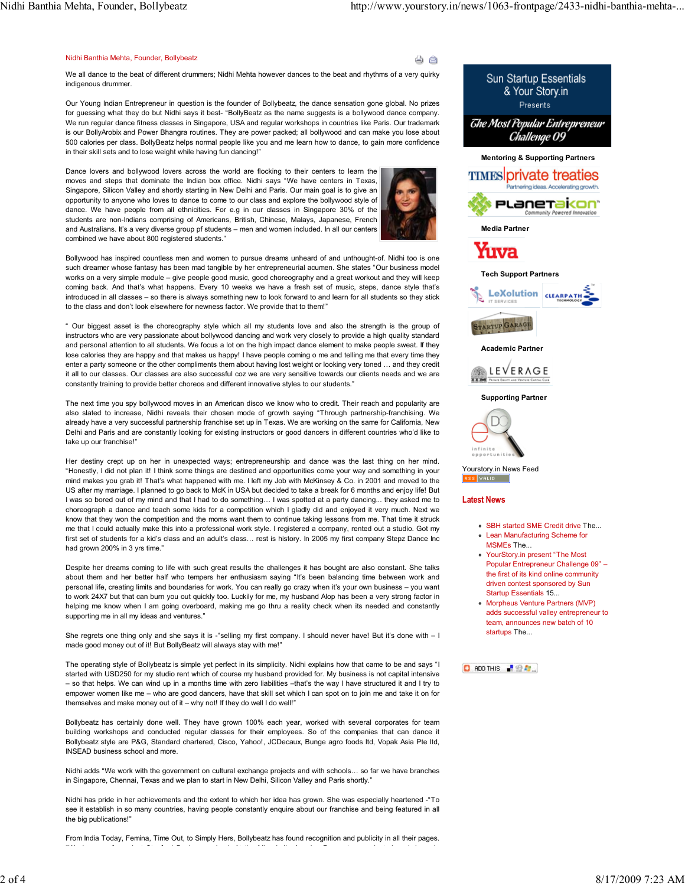## Nidhi Banthia Mehta, Founder, Bollybeatz

a A

We all dance to the beat of different drummers; Nidhi Mehta however dances to the beat and rhythms of a very quirky indigenous drummer.

Our Young Indian Entrepreneur in question is the founder of Bollybeatz, the dance sensation gone global. No prizes for guessing what they do but Nidhi says it best- "BollyBeatz as the name suggests is a bollywood dance company. We run regular dance fitness classes in Singapore, USA and regular workshops in countries like Paris. Our trademark is our BollyArobix and Power Bhangra routines. They are power packed; all bollywood and can make you lose about 500 calories per class. BollyBeatz helps normal people like you and me learn how to dance, to gain more confidence in their skill sets and to lose weight while having fun dancing!"

Dance lovers and bollywood lovers across the world are flocking to their centers to learn the moves and steps that dominate the Indian box office. Nidhi says "We have centers in Texas, Singapore, Silicon Valley and shortly starting in New Delhi and Paris. Our main goal is to give an opportunity to anyone who loves to dance to come to our class and explore the bollywood style of dance. We have people from all ethnicities. For e.g in our classes in Singapore 30% of the students are non-Indians comprising of Americans, British, Chinese, Malays, Japanese, French and Australians. It's a very diverse group pf students – men and women included. In all our centers combined we have about 800 registered students."



Bollywood has inspired countless men and women to pursue dreams unheard of and unthought-of. Nidhi too is one such dreamer whose fantasy has been mad tangible by her entrepreneurial acumen. She states "Our business model works on a very simple module – give people good music, good choreography and a great workout and they will keep coming back. And that's what happens. Every 10 weeks we have a fresh set of music, steps, dance style that's introduced in all classes – so there is always something new to look forward to and learn for all students so they stick to the class and don't look elsewhere for newness factor. We provide that to them!"

" Our biggest asset is the choreography style which all my students love and also the strength is the group of instructors who are very passionate about bollywood dancing and work very closely to provide a high quality standard and personal attention to all students. We focus a lot on the high impact dance element to make people sweat. If they lose calories they are happy and that makes us happy! I have people coming o me and telling me that every time they enter a party someone or the other compliments them about having lost weight or looking very toned … and they credit it all to our classes. Our classes are also successful coz we are very sensitive towards our clients needs and we are constantly training to provide better choreos and different innovative styles to our students."

The next time you spy bollywood moves in an American disco we know who to credit. Their reach and popularity are also slated to increase, Nidhi reveals their chosen mode of growth saying "Through partnership-franchising. We already have a very successful partnership franchise set up in Texas. We are working on the same for California, New Delhi and Paris and are constantly looking for existing instructors or good dancers in different countries who'd like to take up our franchise!"

Her destiny crept up on her in unexpected ways; entrepreneurship and dance was the last thing on her mind. "Honestly, I did not plan it! I think some things are destined and opportunities come your way and something in your mind makes you grab it! That's what happened with me. I left my Job with McKinsey & Co. in 2001 and moved to the US after my marriage. I planned to go back to McK in USA but decided to take a break for 6 months and enjoy life! But I was so bored out of my mind and that I had to do something… I was spotted at a party dancing... they asked me to choreograph a dance and teach some kids for a competition which I gladly did and enjoyed it very much. Next we know that they won the competition and the moms want them to continue taking lessons from me. That time it struck me that I could actually make this into a professional work style. I registered a company, rented out a studio. Got my first set of students for a kid's class and an adult's class… rest is history. In 2005 my first company Stepz Dance Inc had grown 200% in 3 yrs time."

Despite her dreams coming to life with such great results the challenges it has bought are also constant. She talks about them and her better half who tempers her enthusiasm saying "It's been balancing time between work and personal life, creating limits and boundaries for work. You can really go crazy when it's your own business – you want to work 24X7 but that can burn you out quickly too. Luckily for me, my husband Alop has been a very strong factor in helping me know when I am going overboard, making me go thru a reality check when its needed and constantly supporting me in all my ideas and ventures."

She regrets one thing only and she says it is -"selling my first company. I should never have! But it's done with – I made good money out of it! But BollyBeatz will always stay with me!"

The operating style of Bollybeatz is simple yet perfect in its simplicity. Nidhi explains how that came to be and says "I started with USD250 for my studio rent which of course my husband provided for. My business is not capital intensive – so that helps. We can wind up in a months time with zero liabilities –that's the way I have structured it and I try to empower women like me – who are good dancers, have that skill set which I can spot on to join me and take it on for themselves and make money out of it – why not! If they do well I do well!"

Bollybeatz has certainly done well. They have grown 100% each year, worked with several corporates for team building workshops and conducted regular classes for their employees. So of the companies that can dance it Bollybeatz style are P&G, Standard chartered, Cisco, Yahoo!, JCDecaux, Bunge agro foods ltd, Vopak Asia Pte ltd, INSEAD business school and more.

Nidhi adds "We work with the government on cultural exchange projects and with schools… so far we have branches in Singapore, Chennai, Texas and we plan to start in New Delhi, Silicon Valley and Paris shortly."

Nidhi has pride in her achievements and the extent to which her idea has grown. She was especially heartened -"To see it establish in so many countries, having people constantly enquire about our franchise and being featured in all the big publications!"

From India Today, Femina, Time Out, to Simply Hers, Bollybeatz has found recognition and publicity in all their pages. "W h f d t St f d B i h l At th Mi I di A i P t d td kh i

**Sun Startup Essentials** & Your Story.in Presents **The Most Popular Entrepreneur** 

Challenge 09





**Media Partner**



**Tech Support Partners**



**Academic Partner**



**Supporting Partner**



Yourstory.in News Feed

## **Latest News**

- SBH started SME Credit drive The...
- Lean Manufacturing Scheme for MSMEs The...
- YourStory.in present "The Most Popular Entrepreneur Challenge 09" – the first of its kind online community driven contest sponsored by Sun Startup Essentials 15...
- Morpheus Venture Partners (MVP) adds successful valley entrepreneur to team, announces new batch of 10 startups The...

C ROD THIS **RIVER**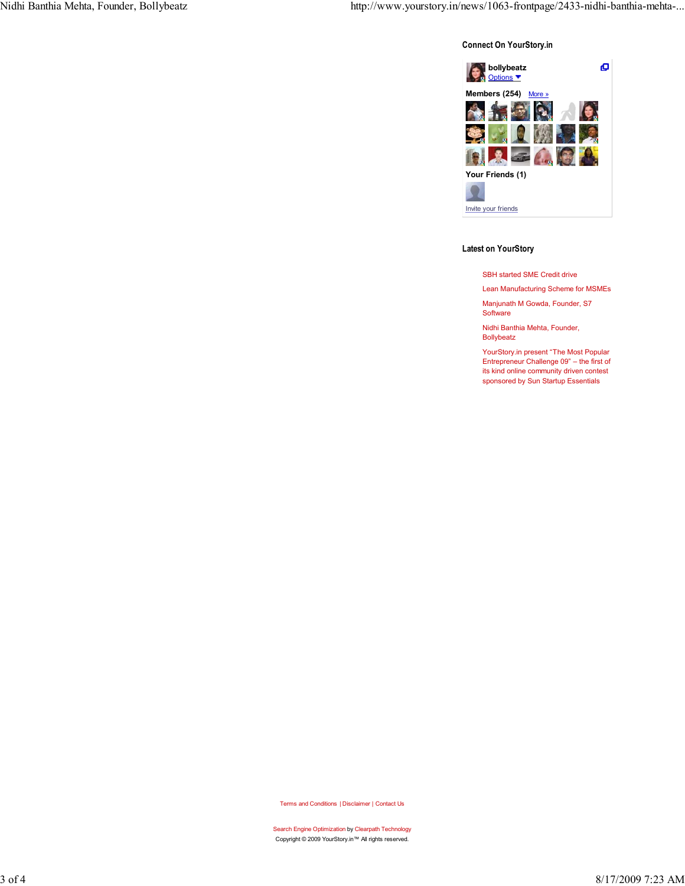## **Connect On YourStory.in**



## **Latest on YourStory**

SBH started SME Credit drive

Lean Manufacturing Scheme for MSMEs

Manjunath M Gowda, Founder, S7 **Software** 

Nidhi Banthia Mehta, Founder, Bollybeatz

YourStory.in present "The Most Popular Entrepreneur Challenge 09" – the first of its kind online community driven contest sponsored by Sun Startup Essentials

Terms and Conditions | Disclaimer | Contact Us

Search Engine Optimization by Clearpath Technology Copyright © 2009 YourStory.in™ All rights reserved.